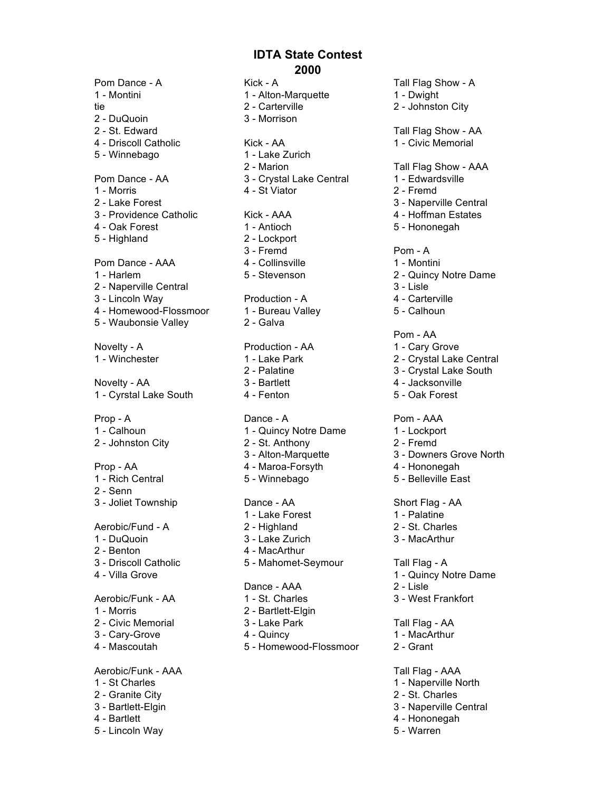Pom Dance - A **Kick - A** Kick - A Tall Flag Show - A 1 - Montini 1 - Alton-Marquette 1 - Dwight tie 2 - Carterville 2 - 2 - 2 - Johnston City 2 - DuQuoin 3 - Morrison 2 - St. Edward Communication Communication Communication Communication Communication Communication Communication Communication Communication Communication Communication Communication Communication Communication Communicati 5 - Winnebago 1 - Lake Zurich 1 - Morris 4 - St Viator 2 - Fremd 5 - Highland 2 - Lockport Pom Dance - AAA 4 - Collinsville 1 - Montini 2 - Naperville Central 3 - Lisle 4 - Homewood-Flossmoor 1 - Bureau Valley 5 - Calhoun 5 - Waubonsie Valley 2 - Galva Novelty - AA 3 - Bartlett 4 - Jacksonville 1 - Cyrstal Lake South 4 - Fenton 5 - Oak Forest Prop - A Dance - A Prop - AAA 1 - Calhoun 1 - Quincy Notre Dame 1 - Lockport 2 - Johnston City 2 - St. Anthony 2 - Fremd Prop - AA 4 - Maroa-Forsyth 4 - Hononegah 1 - Rich Central **5** - Winnebago 5 - Belleville East 2 - Senn 3 - Joliet Township **Dance - AA** Short Flag - AA Aerobic/Fund - A 2 - Highland 2 - 2 - 2 - St. Charles 1 - DuQuoin 3 - Lake Zurich 3 - MacArthur 2 - Benton 4 - MacArthur 3 - Driscoll Catholic 5 - Mahomet-Seymour Tall Flag - A 4 - Villa Grove 1 - Quincy Notre Dame Aerobic/Funk - AA 1 - St. Charles 3 - West Frankfort 1 - Morris 2 - Bartlett-Elgin 2 - Civic Memorial 3 - Lake Park Tall Flag - AA 3 - Cary-Grove 4 - Quincy 1 - MacArthur 4 - Mascoutah 5 - Homewood-Flossmoor 2 - Grant Aerobic/Funk - AAA Tall Flag - AAA 1 - St Charles 1 - Naperville North 2 - Granite City 2 - St. Charles 3 - Bartlett-Elgin 3 - Naperville Central 4 - Bartlett 4 - Hononegah

5 - Lincoln Way 5 - Warren

4 - Driscoll Catholic Kick - AA 1 - Civic Memorial 2 - Marion Tall Flag Show - AAA Pom Dance - AA 3 - Crystal Lake Central 1 - Edwardsville 2 - Lake Forest 3 - Naperville Central 3 - Providence Catholic **Kick - AAA** 4 - Hoffman Estates 4 - Oak Forest 1 - Antioch 5 - Hononegah 3 - Fremd Pom - A 1 - Harlem 5 - Stevenson 2 - Quincy Notre Dame 3 - Lincoln Way **Production - A** 4 - Carterville Pom - AA Novelty - A **Production - AA** 1 - Cary Grove 1 - Winchester 1 - Lake Park 2 - Crystal Lake Central 2 - Palatine 3 - Crystal Lake South

- 3 Alton-Marquette 3 Downers Grove North
	-
	-

- 
- 
- 

- 
- 
- 

- 
- 

- 
- 
- 
- 
- 

1 - Lake Forest 1 - Palatine

Dance - AAA 2 - Lisle

- 
- 
- 
- 
- 
- 
- 
- 

- 
- 
- 
- 
- 
- 
- 
-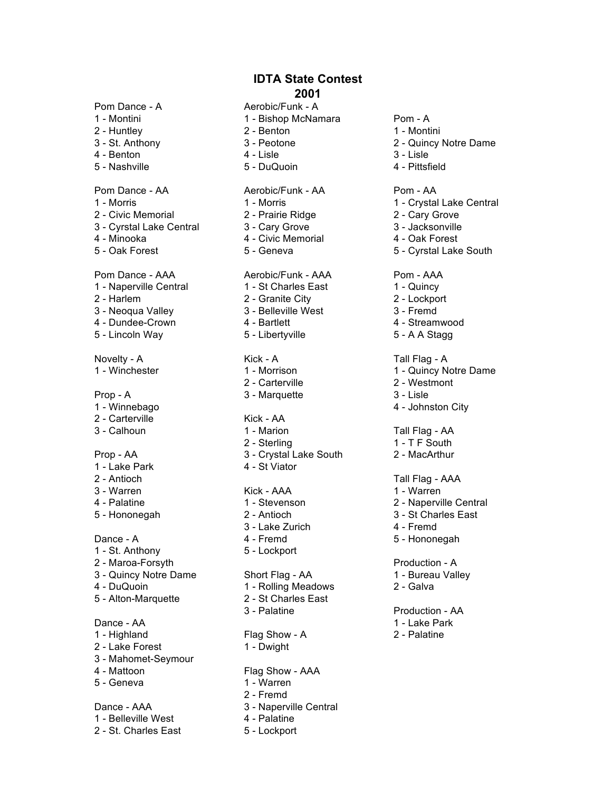Pom Dance - A Aerobic/Funk - A

- 
- 
- 
- 
- 

- 
- 2 Civic Memorial 2 Prairie Ridge 2 Cary Grove
- 3 Cyrstal Lake Central 3 Cary Grove 3 Jacksonville
- 
- 

Pom Dance - AAA Aerobic/Funk - AAA Pom - AAA 1 - Naperville Central 1 - St Charles East 1 - Quincy 2 - Harlem 2 - Granite City 2 - Lockport 3 - Neoqua Valley 3 - Belleville West 3 - Fremd 4 - Dundee-Crown 4 - Bartlett 4 - Streamwood 5 - Lincoln Way **5 - Libertyville** 5 - A A Stagg

Novelty - A **Kick - A Kick - A** Tall Flag - A

Prop - A 3 - Marquette 3 - Lisle

- 
- 2 Carterville Kick AA
- 

- 1 Lake Park 4 St Viator
- 
- 
- 

- 1 St. Anthony 5 Lockport 2 - Maroa-Forsyth **Production - A**
- 
- 
- 

Dance - AA 1 - Lake Park

- 
- 2 Lake Forest 1 Dwight
- 3 Mahomet-Seymour
- 
- 

1 - Belleville West 4 - Palatine 2 - St. Charles East 5 - Lockport

- 1 Montini 1 Bishop McNamara Pom A 2 - Huntley 2 - Benton 2 - Benton 1 - Montini
	-
	-
- Pom Dance AA Aerobic/Funk AA Pom AA
	-
	-
- 4 Minooka 4 Civic Memorial 4 Oak Forest
	-

- 
- 
- 

- 
- 
- 
- 
- 3 Calhoun 1 Marion 1 Marion Tall Flag AA 2 - Sterling 1 - T F South Prop - AA 3 - Crystal Lake South 2 - MacArthur

3 - Warren 1 - Warren 1 - Warren 1 - Warren 1 - Warren 1 - Warren 1 - Warren 1 - Warren 1 - Warren 1 - Warren 1 - Warren 1 - Warren 1 - Warren 1 - Warren 1 - Warren 1 - Warren 1 - Warren 1 - Warren 1 - Warren 1 - Warren 1

3 - Lake Zurich 4 - Fremd Dance - A 4 - Fremd 5 - Hononegah

3 - Quincy Notre Dame Short Flag - AA 1 - Bureau Valley 4 - DuQuoin **1 - Rolling Meadows** 2 - Galva 5 - Alton-Marquette 2 - St Charles East 3 - Palatine **Production - AA** 

1 - Highland **Flag Show - A** 2 - Palatine

4 - Mattoon Flag Show - AAA

- 5 Geneva 1 Warren
	- 2 Fremd
- Dance AAA 3 Naperville Central
	-
	-
- -
- 3 St. Anthony 3 Peotone 2 Quincy Notre Dame
- 4 Benton 3 Lisle 3 Lisle
- 5 Nashville 5 DuQuoin 4 Pittsfield
	-
- 1 Morris 1 Morris 1 Crystal Lake Central
	-
	-
	-
- 5 Oak Forest **5 Geneva** 5 Geneva 5 Cyrstal Lake South

- 
- 
- 
- 
- 

- 1 Winchester 1 Morrison 1 Morrison 1 Quincy Notre Dame
	- 2 Carterville 2 Westmont
		-
- 1 Winnebago 4 Johnston City

- 
- 
- 2 Antioch Tall Flag AAA
	-
- 4 Palatine 1 Stevenson 2 Naperville Central
- 5 Hononegah 2 Antioch 3 St Charles East
	-
	-

- 
-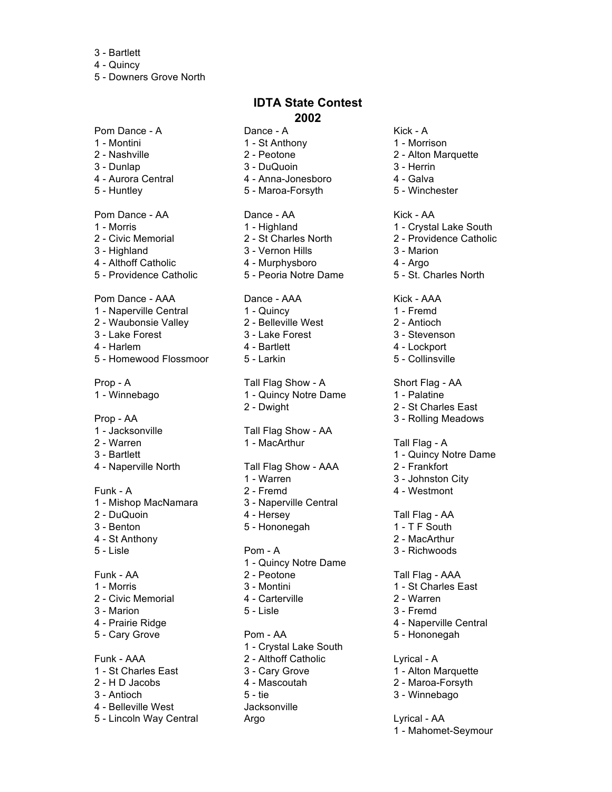- 3 Bartlett
- 4 Quincy

5 - Downers Grove North

Pom Dance - A Dance - A Kick - A 1 - Montini 1 - St Anthony 1 - Morrison 2 - Nashville 2 - Peotone 2 - Alton Marquette 3 - Dunlap 3 - DuQuoin 3 - Herrin 4 - Aurora Central 4 - Anna-Jonesboro 4 - Galva 5 - Huntley 5 - Maroa-Forsyth 5 - Winchester Pom Dance - AA Dance - AA Kick - AA 3 - Highland 3 - Vernon Hills 3 - Marion 4 - Althoff Catholic 4 - Murphysboro 4 - Argo 5 - Providence Catholic 5 - Peoria Notre Dame 5 - St. Charles North Pom Dance - AAA Dance - AAA Kick - AAA 1 - Naperville Central 1 - Quincy 1 - Tremd 2 - Waubonsie Valley 2 - Belleville West 2 - Antioch 3 - Lake Forest 3 - Lake Forest 3 - Stevenson 4 - Harlem 4 - Bartlett 4 - Lockport 5 - Homewood Flossmoor 5 - Larkin 1997 - S - Collinsville Prop - AA 3 - Rolling Meadows 1 - Jacksonville Tall Flag Show - AA 2 - Warren 1 - MacArthur 1 - MacArthur Tall Flag - A 3 - Bartlett 1 - Quincy Notre Dame Funk - A 2 - Fremd 4 - Westmont 1 - Mishop MacNamara 3 - Naperville Central 2 - DuQuoin 4 - Hersey Tall Flag - AA 3 - Benton 5 - Hononegah 1 - T F South 4 - St Anthony 2 - MacArthur 5 - Lisle Pom - A 3 - Richwoods Funk - AA 2 - Peotone Tall Flag - AAA 1 - Morris 2012 1 - Montini 1 - St Charles East 2 - Civic Memorial 4 - Carterville 2 - Warren 3 - Marion 3 - Fremd 4 - Prairie Ridge 4 - Naperville Central 5 - Cary Grove **Pom - AA** 5 - Hononegah 4 - Belleville West Jacksonville

### 5 - Lincoln Way Central **Argo** Argo **Lyrical - AA**

### **IDTA State Contest 2002**

- 
- 
- 
- 
- 

- 
- 
- 
- 

- 
- 
- 
- 

Prop - A Tall Flag Show - A Short Flag - AA 1 - Winnebago **1 - Quincy Notre Dame** 1 - Palatine 2 - Dwight 2 - St Charles East

4 - Naperville North Tall Flag Show - AAA 2 - Frankfort

- 
- 
- 
- 
- 

- 1 Quincy Notre Dame
- 
- 
- 
- 

1 - Crystal Lake South Funk - AAA 2 - Althoff Catholic Lyrical - A 1 - St Charles East 3 - Cary Grove 1 - Alton Marquette 2 - H D Jacobs 4 - Mascoutah 2 - Maroa-Forsyth 3 - Antioch 3 - Antioch 3 - Winnebago

- -
- 
- 
- 

- 1 Morris 1 Highland 1 Crystal Lake South
- 2 Civic Memorial 2 St Charles North 2 Providence Catholic
	-
	-
	-

- 
- 
- 
- 
- 

- 
- 
- 

- 
- 
- 1 Warren 3 Johnston City
	-

- 
- 
- 

- 
- 
- 
- 
- 

- 
- 
- 
- - 1 Mahomet-Seymour
- 
- 
- 
- 
- 
-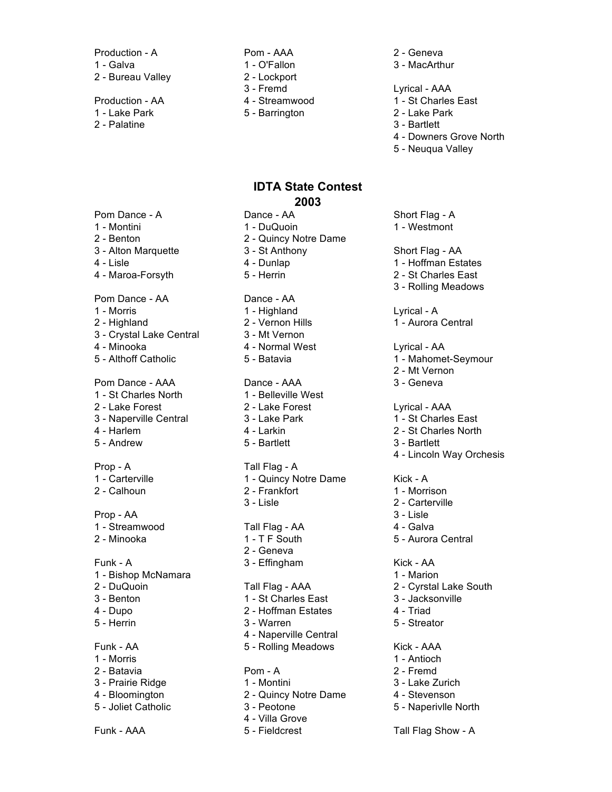Production - A <br>
Pom - AAA 2 - Geneva 1 - Galva 1 - O'Fallon 3 - MacArthur

- 1 Lake Park 5 Barrington
- 2 Palatine 3 Bartlett
- 2 Bureau Valley 2 Lockport 3 - Fremd Lyrical - AAA
	-
	-

### **IDTA State Contest 2003**

- 
- 
- 

### Pom Dance - AA Dance - AA

- 
- 
- 3 Crystal Lake Central 3 Mt Vernon
- 
- 

- 1 St Charles North 1 Belleville West
- 3 Naperville Central 2008 3 Lake Park 1 St Charles East
- 
- 5 Andrew 5 Bartlett 3 Bartlett

### Prop - AA 3 - Lisle

- 1 Streamwood **Tall Flag AA** 4 Galva
- 

- 1 Bishop McNamara 1 Marion
- 
- 
- 

### Funk - AA 5 - Rolling Meadows Kick - AAA

- 
- 2 Batavia Pom A 2 Fremd
- 
- 
- 
- Pom Dance A Cance AA Short Flag A 1 - Montini 1 - DuQuoin 1 - Westmont 2 - Benton 2 - Quincy Notre Dame 3 - Alton Marquette 3 - St Anthony Short Flag - AA 4 - Lisle 1 - Hoffman Estates 1 - Hoffman Estates 1 - Hoffman Estates 1 - Hoffman Estates 1 - Hoffman Estates 1 - Hoffman Estates 1 - Hoffman Estates 1 - Hoffman Estates 1 - Hoffman Estates 1 - Hoffman Estates 1 - Hoffman 4 - Maroa-Forsyth 5 - Herrin 2 - St Charles East 1 - Morris 1 - Highland Lyrical - A 2 - Highland 2 - Vernon Hills 1 - Aurora Central 4 - Minooka **4 - Normal West** Lyrical - AA 5 - Althoff Catholic **5 - Batavia** 1 - Mahomet-Seymour Pom Dance - AAA Dance - AAA 3 - Geneva 2 - Lake Forest 2 - Lake Forest Lyrical - AAA
	-
	-
	-

### Prop - A Tall Flag - A

1 - Carterville 1 - Quincy Notre Dame Kick - A 2 - Calhoun 2 - Frankfort 1 - Morrison 3 - Lisle 2 - Carterville

- 
- 2 Geneva
- Funk A 3 Effingham 3 Strong Kick AA

- 3 Benton 1 St Charles East 3 Jacksonville
- 4 Dupo 2 Hoffman Estates 4 Triad
- 5 Herrin 3 Warren 5 Streator
	- 4 Naperville Central
- 1 Morris 1 Antioch

- 3 Prairie Ridge 1 Montini 3 Lake Zurich
- 4 Bloomington 2 Quincy Notre Dame 4 Stevenson
- 5 Joliet Catholic 3 Peotone 5 Naperivlle North
	- 4 Villa Grove
- Funk AAA 5 Fieldcrest Tall Flag Show A
- 
- 
- 
- 
- Production AA 4 Streamwood 1 St Charles East<br>1 Lake Park 5 Barrington 1 Lake Park
	-
	- 4 Downers Grove North
	- 5 Neuqua Valley

- 
- 
- 3 Rolling Meadows
- 
- 
- -
- 2 Mt Vernon
- 

- 
- 4 Harlem 4 Larkin 2 St Charles North
	-
	- 4 Lincoln Way Orchesis
	-
	-
	-
	-
	-
- 2 Minooka 2 T F South 5 Aurora Central

- 
- 2 DuQuoin Tall Flag AAA 2 Cyrstal Lake South
	-
	-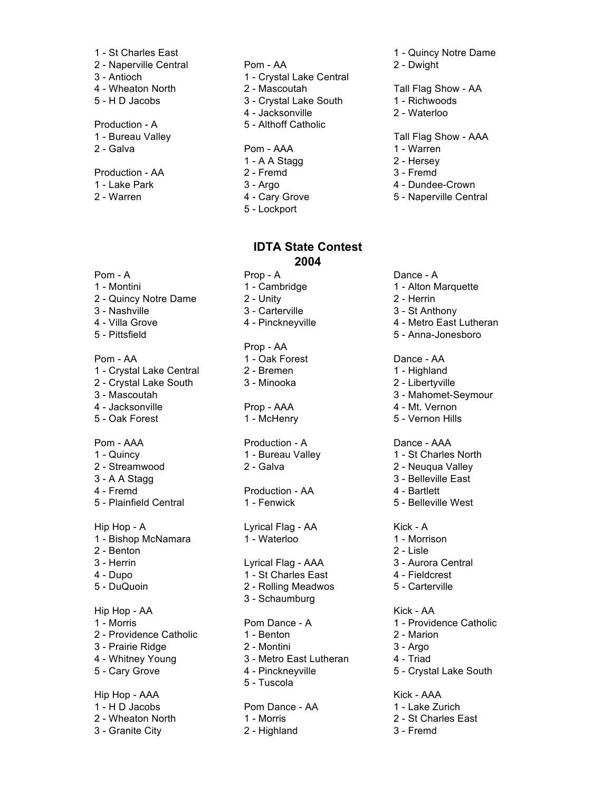- 
- 2 Naperville Central Pom AA 2 Dwight
- 
- 
- 

- 
- 

### Production - AA 2 - Fremd 3 - Fremd

- 
- 
- 
- 3 Antioch 1 Crystal Lake Central
- 4 Wheaton North 2 Mascoutah Tall Flag Show AA
- 5 H D Jacobs 3 Crystal Lake South 1 Richwoods
	- 4 Jacksonville 2 Waterloo
- Production A 5 Althoff Catholic

### 2 - Galva 1 - Warren 2 - Galva 1 - Warren 2 - Galva 1 - Warren 2 - Salva 2 - Warren 2 - Warren 2 - Warren 2 - Warren 2 - Warren 2 - Warren 2 - Warren 2 - Warren 2 - Warren 2 - Warren 2 - Warren 2 - Warren 2 - Warren 2 - Wa

- 1 A A Stagg 2 Hersey
- 
- 
- 
- 5 Lockport

### **IDTA State Contest 2004**

- -
	-

### Prop - AA

- 
- 

## Pom - AAA **Production - A** Dance - AAA

# 4 - Fremd Production - AA 4 - Bartlett

Hip Hop - A Lyrical Flag - AA Kick - A 1 - Bishop McNamara 1 - Waterloo 1 - Morrison

### 3 - Herrin Lyrical Flag - AAA 3 - Aurora Central

- 4 Dupo 1 St Charles East 4 Fieldcrest
- 5 DuQuoin 2 Rolling Meadwos 5 Carterville
	- 3 Schaumburg

- 
- 3 Prairie Ridge 2 Montini 3 Argo
- 4 Whitney Young 3 Metro East Lutheran 4 Triad
	- 5 Tuscola

### 1 - H D Jacobs **Pom Dance - AA** 1 - Lake Zurich 2 - Wheaton North 1 - Morris 2 - St Charles East

3 - Granite City 2 - Highland 3 - Fremd

### 1 - St Charles East 1 - Quincy Notre Dame

- 
- 
- 
- 

### 1 - Bureau Valley **Tall Flag Show - AAA**

- 
- 
- 
- 1 Lake Park **3 Argo** 4 Dundee-Crown
- 2 Warren **2. 19. In the Cary Grove** 5 Naperville Central

### Pom - A Dance - A Prop - A Dance - A

- 1 Montini 1 Cambridge 1 Alton Marquette
- 2 Quincy Notre Dame 2 Unity 2 Unity 2 Herrin
- 3 Nashville 3 Carterville 3 St Anthony

### 4 - Villa Grove **4 - Pinckneyville** 4 - Metro East Lutheran

5 - Pittsfield 5 - Anna-Jonesboro

### Pom - AA 1 - Oak Forest Dance - AA

- 1 Crystal Lake Central 2 Bremen 1 Highland
- 2 Crystal Lake South 3 Minooka 2 Libertyville
- 3 Mascoutah 3 Mahomet-Seymour
	-
	-

- 1 Quincy 1 Bureau Valley 1 St Charles North
- 2 Streamwood 2 Galva 2 Galva 2 Neuqua Valley
- 3 A A Stagg 3 Belleville East
	-
- 5 Plainfield Central 1 Fenwick 5 Belleville West

- 
- 2 Benton 2 Lisle
	-
	-
	-

### Hip Hop - AA Kick - AA

- 1 Morris **Pom Dance A** 1 Providence Catholic
- 2 Providence Catholic 1 Benton 2 Marion
	-
	-
- 5 Cary Grove 4 Pinckneyville 5 Crystal Lake South

### Hip Hop - AAA Kick - AAA Kick - AAA

- 
- 
- 

4 - Jacksonville **ARA** 4 - Mt. Vernon 5 - Oak Forest 1 - McHenry 5 - Vernon Hills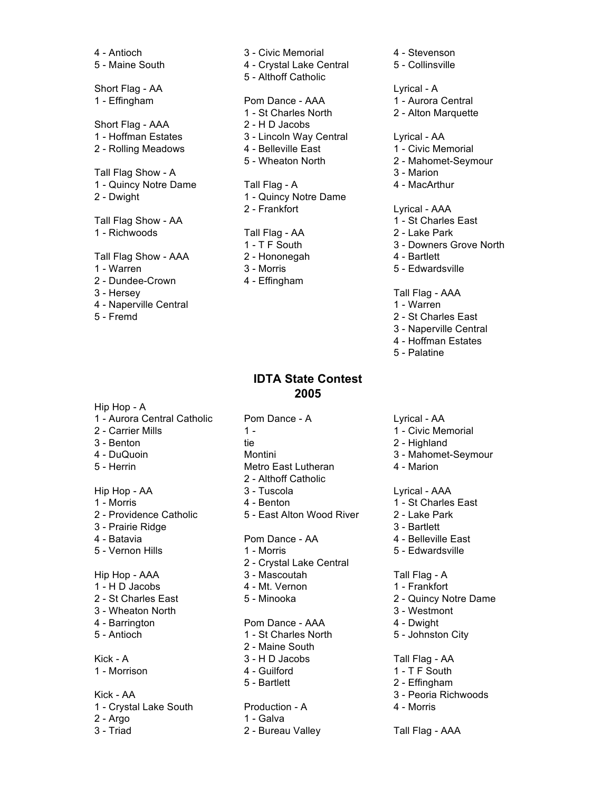4 - Antioch 3 - Civic Memorial 4 - Stevenson Short Flag - AAA 2 - H D Jacobs 1 - Richwoods Tall Flag - AA 2 - Lake Park Tall Flag Show - AAA 2 - Hononegah 4 - Bartlett 1 - Warren 3 - Morris 1 - Warren 3 - Morris 1 - Warren 2011 2 - Dundee-Crown 4 - Effingham

- 3 Hersey Tall Flag AAA
- 4 Naperville Central 2008 and 2009 and 2008 and 2009 and 2012 and 2012 and 2013
- 

Hip Hop - A

### 5 - Maine South 4 - Crystal Lake Central 5 - Collinsville 5 - Althoff Catholic Short Flag - AA Lyrical - A 1 - Effingham **Pom Dance - AAA** 1 - Aurora Central 1 - St Charles North 2 - Alton Marquette 1 - Hoffman Estates 3 - Lincoln Way Central Lyrical - AA 2 - Rolling Meadows 4 - Belleville East 1 - Civic Memorial 5 - Wheaton North 2 - Mahomet-Seymour Tall Flag Show - A 3 - Marion 1 - Quincy Notre Dame Tall Flag - A 4 - MacArthur 2 - Dwight 1 - Quincy Notre Dame 2 - Frankfort Lyrical - AAA Tall Flag Show - AA 1 - St Charles East

- 
- 
- 

### **IDTA State Contest 2005**

2 - Carrier Mills 1 - 1 - 1 - 1 - 1 - 2 - Civic Memorial 3 - Benton in tie 2 - Highland 4 - DuQuoin **Montini** Montini 3 - Mahomet-Seymour 5 - Herrin **Metro East Lutheran** 4 - Marion Hip Hop - AA 3 - Tuscola Lyrical - AAA 1 - Morris **1 - Morris 1 - St Charles East** 4 - Benton **1 - St Charles East** 2 - Providence Catholic 5 - East Alton Wood River 2 - Lake Park 3 - Prairie Ridge 3 - Bartlett 4 - Batavia Pom Dance - AA 4 - Belleville East 5 - Vernon Hills 1 - Morris 1 - Morris 5 - Edwardsville Hip Hop - AAA 3 - Mascoutah Tall Flag - A 1 - H D Jacobs 4 - Mt. Vernon 1 - Frankfort 2 - St Charles East 5 - Minooka 2 - Quincy Notre Dame 3 - Wheaton North 3 - Westmont 4 - Barrington **Pom Dance - AAA** 4 - Dwight 5 - Antioch 1 - St Charles North 5 - Johnston City Kick - A 3 - H D Jacobs Tall Flag - AA 1 - Morrison **1 - The Cuilford** 1 - The South Kick - AA 3 - Peoria Richwoods 1 - Crystal Lake South Production - A 4 - Morris 2 - Argo 1 - Galva 3 - Triad 2 - Bureau Valley 7all Flag - AAA

1 - Aurora Central Catholic Pom Dance - A Lyrical - AA 2 - Althoff Catholic 2 - Crystal Lake Central 2 - Maine South 5 - Bartlett 2 - Effingham

- 
- 
- 
- 
- 
- 
- 

- 
- 
- 
- 

- 
- 
- 1 T F South 3 Downers Grove North
	-

- 
- 5 Fremd 2 St Charles East
	- 3 Naperville Central
	- 4 Hoffman Estates
	- 5 Palatine
	- -
	-
	-
	-

- 
- 
- 
- 
- 

- 
- 
- 
- 
- 

- 
- 
- 
-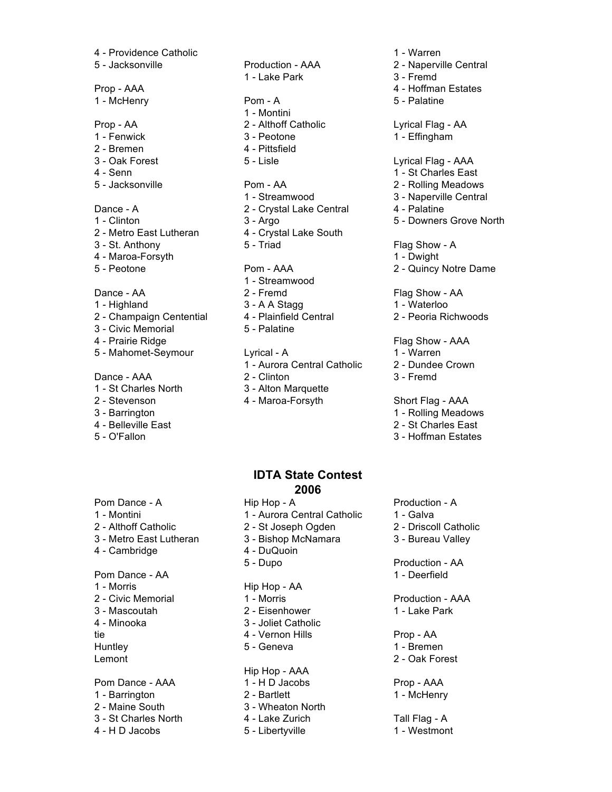4 - Providence Catholic 1 - Warren 5 - Jacksonville Production - AAA 2 - Naperville Central 1 - McHenry **Pom - A** 5 - Palatine Prop - AA 2 - Althoff Catholic Lyrical Flag - AA 1 - Fenwick **3 - Peotone** 1 - Effingham 2 - Bremen 4 - Pittsfield 3 - Oak Forest 5 - Lisle Lyrical Flag - AAA Dance - A 2 - Crystal Lake Central 4 - Palatine 2 - Metro East Lutheran 4 - Crystal Lake South 3 - St. Anthony 5 - Triad Flag Show - A 4 - Maroa-Forsyth 2001 1 - Dwight Dance - AA 2 - Fremd Flag Show - AA 1 - Highland 3 - A A Stagg 1 - Waterloo 3 - Civic Memorial 5 - Palatine

- 
- 
- 
- 
- 

4 - Cambridge 4 - DuQuoin 1 - Morris Hip Hop - AA 4 - Minooka 3 - Joliet Catholic

2 - Maine South 3 - Wheaton North

1 - Lake Park 3 - Fremd 1 - Montini

- 1 Streamwood
- 
- 
- 

4 - Prairie Ridge Flag Show - AAA 5 - Mahomet-Seymour Lyrical - A 1 - Warren 1 - Aurora Central Catholic 2 - Dundee Crown Dance - AAA 2 - Clinton 3 - Fremd 1 - St Charles North 3 - Alton Marquette

2 - Stevenson 4 - Maroa-Forsyth Short Flag - AAA

# Prop - AAA 4 - Hoffman Estates 4 - Senn 1 - St Charles East 5 - Jacksonville Pom - AA 2 - Rolling Meadows 1 - Streamwood 3 - Naperville Central 1 - Clinton 3 - Argo 5 - Downers Grove North 5 - Peotone **Pom - AAA** 2 - Quincy Notre Dame 2 - Champaign Centential 4 - Plainfield Central 2 - Peoria Richwoods

- 
- 

- 3 Barrington 1 Rolling Meadows 1 Rolling Meadows 2014
- 4 Belleville East 2 St Charles East
- 5 O'Fallon 3 Hoffman Estates

### **IDTA State Contest 2006**

1 - Montini 1 - Aurora Central Catholic 1 - Galva 2 - Althoff Catholic 2 - St Joseph Ogden 2 - Driscoll Catholic 3 - Metro East Lutheran 3 - Bishop McNamara 3 - Bureau Valley 5 - Dupo Production - AA Pom Dance - AA 1 - Deerfield 2 - Civic Memorial 1 - Morris 1 - Morris Production - AAA 3 - Mascoutah 2 - Eisenhower 1 - Lake Park tie 1988 - 1998 - 1998 - 1999 - 1999 - 1999 - 1999 - 1999 - 1999 - 1999 - 1999 - 1999 - 1999 - 1999 - 1999 - 1 Huntley **5 - Geneva** 1 - Bremen Lemont 2 - Oak Forest Hip Hop - AAA Pom Dance - AAA 1 - H D Jacobs Prop - AAA 1 - Barrington 2 - Bartlett 1 - McHenry 3 - St Charles North 4 - Lake Zurich Tall Flag - A

4 - H D Jacobs 5 - Libertyville 1 - Westmont

Pom Dance - A **Hip Hop - A** Production - A

- 
- 
-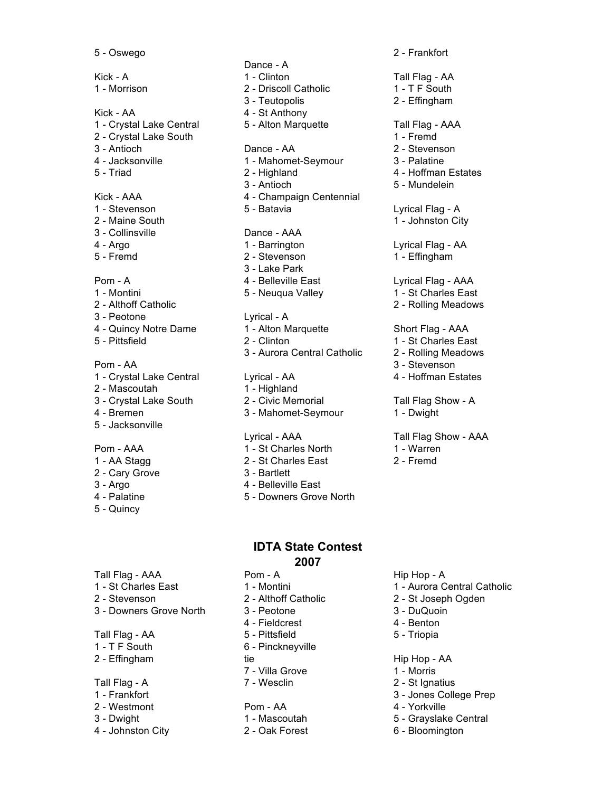Kick - A 1 - Clinton 1 - Clinton Tall Flag - AA 1 - Morrison 2 - Driscoll Catholic 1 - T F South Kick - AA 4 - St Anthony 1 - Crystal Lake Central 5 - Alton Marquette Tall Flag - AAA 2 - Crystal Lake South 1 - Fremd 3 - Antioch Dance - AA 2 - Stevenson 4 - Jacksonville 1 - Mahomet-Seymour 3 - Palatine 5 - Triad 2 - Highland 4 - Hoffman Estates Kick - AAA 4 - Champaign Centennial 1 - Stevenson 5 - Batavia Lyrical Flag - A 2 - Maine South 1 - Johnston City 3 - Collinsville Dance - AAA 4 - Argo 1 - Barrington Lyrical Flag - AA 5 - Fremd 2 - Stevenson 2 - 2 - Stevenson 2 - Effingham Pom - A 4 - Belleville East Lyrical Flag - AAA 1 - Montini 5 - Neuqua Valley 1 - St Charles East 2 - Althoff Catholic 2 - Rolling Meadows 3 - Peotone Lyrical - A 4 - Quincy Notre Dame 1 - Alton Marquette Short Flag - AAA 5 - Pittsfield 2 - Clinton 1 - St Charles East 1 - Crystal Lake Central Lyrical - AA 4 - Hoffman Estates 2 - Mascoutah 1 - Highland 3 - Crystal Lake South 2 - Civic Memorial Tall Flag Show - A 4 - Bremen 3 - Mahomet-Seymour 1 - Dwight 5 - Jacksonville Pom - AAA 1 - St Charles North 1 - Warren

- 
- 
- 

Dance - A 3 - Teutopolis 2 - Effingham 3 - Antioch 5 - Mundelein 3 - Lake Park

- 3 Aurora Central Catholic 2 Rolling Meadows Pom - AA 3 - Stevenson
	-

- 
- 1 AA Stagg 2 St Charles East 2 Fremd
	-
- 3 Argo 4 Belleville East
- 4 Palatine **5 Downers Grove North**

### **IDTA State Contest 2007**

- 
- -
	-
	- 4 Fieldcrest 4 Benton
	-
- 1 T F South 6 Pinckneyville
	-
	- 7 Villa Grove 1 Morris
	-

- 
- 

- 1 St Charles East 1 Montini 1 Aurora Central Catholic
- 2 Stevenson 2 Althoff Catholic 2 St Joseph Ogden
	-
	-
	-

- 
- Tall Flag A 7 Wesclin 2 St Ignatius
- 1 Frankfort 3 Jones College Prep
- 2 Westmont **Pom AA** 4 Yorkville
- 3 Dwight 1 Mascoutah 1 Mascoutah 5 Grayslake Central
- 4 Johnston City **2** Oak Forest 6 Bloomington
- 5 Oswego 2 Frankfort
	-

Lyrical - AAA Tall Flag Show - AAA

- -
- 

- 
- 
- 
- 
- 

- 
- 

- 
- Tall Flag AA 5 Pittsfield 5 Triopia
- 
- 
- -
	-

- 
- 2 Cary Grove 3 Bartlett
- 
- 
- 

5 - Quincy

- 
- 2 Effingham tie tie Hip Hop AA

- Tall Flag AAA Pom A Hip Hop A
- 
- 
- 3 Downers Grove North 3 Peotone 3 DuQuoin
- 

- 
- 
- 
- 
- 
-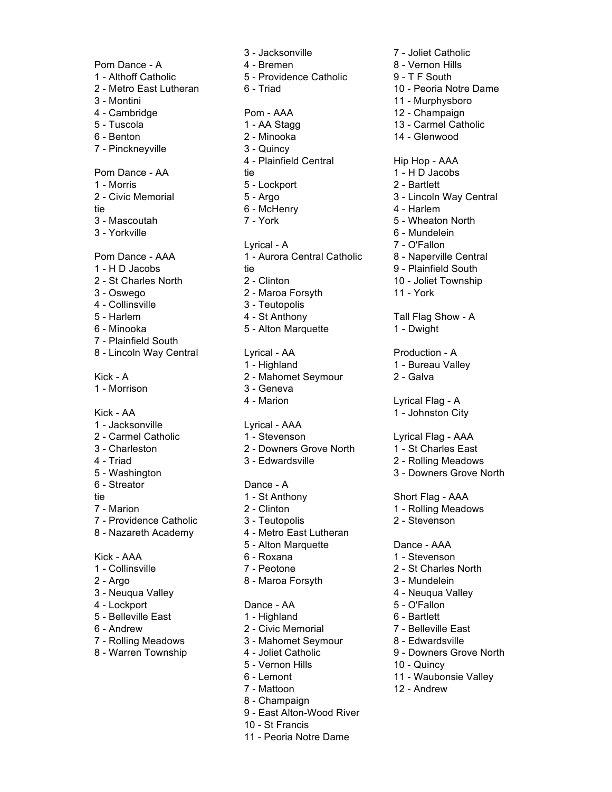7 - Pinckneyville 3 - Quincy 4 - Collinsville 3 - Teutopolis 7 - Plainfield South 1 - Morrison 3 - Geneva 1 - Jacksonville Lyrical - AAA 6 - Streator Dance - A 8 - Nazareth Academy 4 - Metro East Lutheran 1 - Collinsville 7 - Peotone 2 - St Charles North 2 - Argo 8 - Maroa Forsyth 3 - Mundelein 3 - Neuqua Valley **4 - Neuqua Valley 4 - Neuqua Valley** 4 - Lockport Dance - AA 5 - O'Fallon 5 - Belleville East 1 - Highland 6 - Bartlett 6 - Andrew 2 - Civic Memorial 7 - Belleville East

- 
- 

3 - Jacksonville 7 - Joliet Catholic Pom Dance - A 4 - Bremen 8 - Vernon Hills 1 - Althoff Catholic 5 - Providence Catholic 9 - T F South 2 - Metro East Lutheran 6 - Triad 10 - Peoria Notre Dame 3 - Montini 11 - Murphysboro 4 - Cambridge **Pom - AAA** 12 - Champaign 5 - Tuscola 1 - AA Stagg 13 - Carmel Catholic 6 - Benton 2 - Minooka 14 - Glenwood 4 - Plainfield Central Hip Hop - AAA Pom Dance - AA tie 1 - tie 1 - H D Jacobs 1 - Morris 5 - Lockport 2 - Bartlett 2 - Civic Memorial **5 - Argo 5 - Argo 5 - Sepany 3 - Lincoln Way Central** tie 6 - McHenry 6 - McHenry 4 - Harlem 3 - Mascoutah 7 - York 5 - Wheaton North 3 - Yorkville 6 - Mundelein Lyrical - A 7 - O'Fallon Pom Dance - AAA 1 - Aurora Central Catholic 8 - Naperville Central 1 - H D Jacobs tie 1990 tie 1990 van die 19de jaar van die 19de jaar van die 19de jaar van die 19de jaar van die 19de jaar van die 19de jaar van die 19de jaar van die 19de jaar van die 19de jaar van die 19de jaar van die 1 2 - St Charles North 2 - Clinton 2 - Clinton 10 - Joliet Township 3 - Oswego 2 - Maroa Forsyth 11 - York 5 - Harlem **4 - St Anthony** Tall Flag Show - A 6 - Minooka 5 - Alton Marquette 1 - Dwight 8 - Lincoln Way Central Lyrical - AA Production - A 1 - Highland 1 - Bureau Valley Kick - A 2 - Mahomet Seymour 2 - Galva 4 - Marion Lyrical Flag - A Kick - AA 1 - Johnston City 2 - Carmel Catholic **1 - Stevenson** Lyrical Flag - AAA 3 - Charleston 2 - Downers Grove North 1 - St Charles East 4 - Triad 3 - Edwardsville 2 - Rolling Meadows 5 - Washington 3 - Downers Grove North tie 1 - St Anthony Short Flag - AAA 7 - Marion 2 - Clinton 2 - Clinton 2 - Clinton 2 - Rolling Meadows 7 - Providence Catholic 3 - Teutopolis 2 - Stevenson 5 - Alton Marquette Dance - AAA Kick - AAA 6 - Roxana 1 - Stevenson

- 
- 
- 7 Rolling Meadows 3 Mahomet Seymour 8 Edwardsville
	-
	- 5 Vernon Hills 10 Quincy
	-
	-
	- 8 Champaign
	- 9 East Alton-Wood River
	- 10 St Francis
	- 11 Peoria Notre Dame

- 
- 

- 
- 
- 
- 
- 
- 
- 
- 
- 8 Warren Township 4 Joliet Catholic 9 Downers Grove North
	-
	- 6 Lemont 11 Waubonsie Valley
	- 7 Mattoon 12 Andrew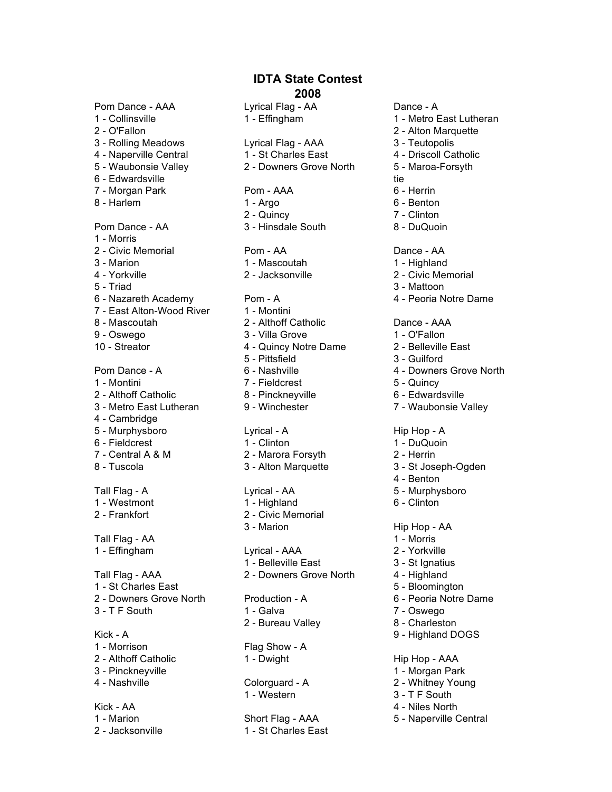Pom Dance - AAA Lyrical Flag - AA Dance - A

- 
- 
- 
- 
- 
- 
- 
- 

- 1 Morris
- 2 Civic Memorial Pom AA Dance AA
- 
- 
- 
- 6 Nazareth Academy Pom A 4 Peoria Notre Dame
- 7 East Alton-Wood River 1 Montini
- 8 Mascoutah 2 Althoff Catholic Dance AAA
- 
- 

- 1 Montini 7 Fieldcrest 5 Quincy
- 
- 
- 4 Cambridge
- 
- 
- 
- 

2 - Frankfort 2 - Civic Memorial

Tall Flag - AA 1 - Morris

1 - St Charles East **5 - Bloomington** 2 - Downers Grove North Production - A 6 - Peoria Notre Dame

Kick - A 9 - Highland DOGS 1 - Morrison Flag Show - A 2 - Althoff Catholic **1** - Dwight **Hip Hop - AAA** 3 - Pinckneyville 1 - Morgan Park 4 - Nashville Colorguard - A 2 - Whitney Young

Kick - AA 4 - Niles North

3 - Rolling Meadows Lyrical Flag - AAA 3 - Teutopolis 4 - Naperville Central 1 - St Charles East 4 - Driscoll Catholic 5 - Waubonsie Valley 2 - Downers Grove North 5 - Maroa-Forsyth 6 - Edwardsville tie 7 - Morgan Park **Pom - AAA** 6 - Herrin 8 - Harlem 1 - Argo 6 - Benton 2 - Quincy 7 - Clinton

Pom Dance - AA 3 - Hinsdale South 8 - DuQuoin

- 
- 
- 
- 
- 
- 9 Oswego 3 Villa Grove 1 O'Fallon
	-
	-
	-
	-
	-
	-
	-
- 6 Fieldcrest 1 Clinton 1 DuQuoin
- 7 Central A & M 2 Marora Forsyth 2 Herrin
	-
- 1 Westmont 1 Highland 6 Clinton
	-

1 - Effingham Lyrical - AAA 2 - Yorkville 1 - Belleville East 3 - St Ignatius Tall Flag - AAA 2 - Downers Grove North 4 - Highland

3 - T F South 2008 2008 1 - Galva 2008 2009 2012 7 - Oswego 2 - Bureau Valley 8 - Charleston

1 - Western 3 - T F South

1 - Marion **Short Flag - AAA** 5 - Naperville Central 2 - Jacksonville 1 - St Charles East

- 1 Collinsville 1 Effingham 1 Metro East Lutheran
- 2 O'Fallon 2 Alton Marquette
	-
	-
	-
	-
	-
	-
	-
	-
	-
- 3 Marion 1 Mascoutah 1 Mascoutah 1 Highland
- 4 Yorkville 2 Jacksonville 2 Civic Memorial
- 5 Triad 3 Mattoon
	-

- 
- 10 Streator 4 Quincy Notre Dame 2 Belleville East
	- 5 Pittsfield 3 Guilford
- Pom Dance A 6 Nashville 4 Downers Grove North
	-
- 2 Althoff Catholic **8 Pinckneyville** 6 Edwardsville
- 3 Metro East Lutheran 9 Winchester 7 Waubonsie Valley

### 5 - Murphysboro Lyrical - A Hip Hop - A

- 
- 
- 8 Tuscola 3 Alton Marquette 3 St Joseph-Ogden
	- 4 Benton
- Tall Flag A **Tall Flag A** Lyrical AA 5 Murphysboro
	-

### 3 - Marion Hip Hop - AA

- 
- 
- 
- 
- 
-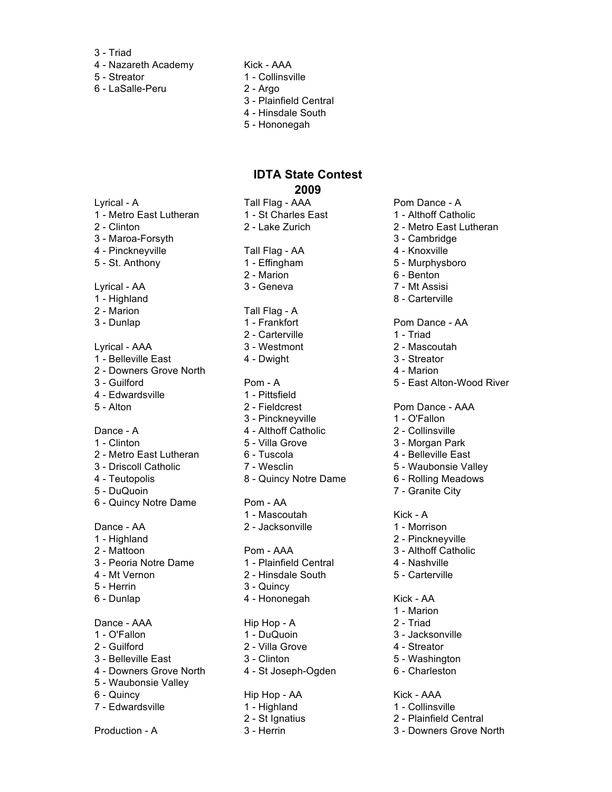- 3 Triad
- 4 Nazareth Academy Kick AAA
- 5 Streator 1 Collinsville
- 6 LaSalle-Peru 2 Argo
- 
- -
	- 3 Plainfield Central
	- 4 Hinsdale South
	- 5 Hononegah

- 1 Metro East Lutheran 1 St Charles East 1 Althoff Catholic
- 
- 3 Maroa-Forsyth 3 Cambridge
- 4 Pinckneyville **Tall Flag AA** 4 Knoxville
- 

### Lyrical - AA 3 - Geneva 7 - Mt Assisi

- 1 Highland 8 Carterville
- 
- 

### Lyrical - AAA 3 - Westmont 2 - Mascoutah

- 1 Belleville East **4 Dwight** 3 Streator
- 2 Downers Grove North 4 Marion
- 3 Guilford Pom A 5 East Alton-Wood River
- 4 Edwardsville 1 Pittsfield
- 

- 
- 2 Metro East Lutheran 6 Tuscola **4 Belleville East**
- 3 Driscoll Catholic 7 Wesclin 5 Waubonsie Valley
- 
- 5 DuQuoin 7 Granite City
- 6 Quincy Notre Dame Pom AA

- 1 Highland 2 Pinckneyville
- 
- 3 Peoria Notre Dame 1 Plainfield Central 4 Nashville<br>4 Mt Vernon 2 Hinsdale South 5 Carterville
- 
- 
- 

### Dance - AAA 
Hip Hop - A
2 - Triad

- 
- 
- 3 Belleville East 3 Clinton 3 Clinton 5 Washington
- 4 Downers Grove North 4 St Joseph-Ogden 6 Charleston
- 5 Waubonsie Valley
- 
- 7 Edwardsville 1 Highland 1 Collinsville

Production - A 3 - Herrin 3 - Herrin 3 - Downers Grove North

- 
- 
- 

### 2 - Marion Tall Flag - A

- 
- 2 Carterville 1 Triad
- 
- 

- 
- 5 Alton 2 Fieldcrest Pom Dance AAA
	- 3 Pinckneyville 1 O'Fallon
- Dance A 4 Althoff Catholic 2 Collinsville
- 1 Clinton 5 Villa Grove 3 Morgan Park
	-
	-
- 4 Teutopolis 8 Quincy Notre Dame 6 Rolling Meadows

- 1 Mascoutah Kick A
- Dance AA 2 Jacksonville 1 Morrison

### 2 - Mattoon 2 - Mattoon Pom - AAA 3 - Althoff Catholic

- 
- 2 Hinsdale South 5 Carterville
- 5 Herrin 3 Quincy
- 6 Dunlap **4 Hononegah** Kick AA

- 1 O'Fallon 1 DuQuoin 3 Jacksonville
- 2 Guilford 2 Villa Grove 4 Streator
	-
	-

### 6 - Quincy Hip Hop - AA Kick - AAA

- 
- 2 St Ignatius 2 Plainfield Central
- 

### Lyrical - A Tall Flag - AAA Pom Dance - A

- 
- 2 Clinton 2 Lake Zurich 2 Metro East Lutheran
	-
	-
- 5 St. Anthony 1 Effingham 5 Murphysboro
	- 2 Marion 6 Benton
		-
		-

### 3 - Dunlap 1 - Frankfort Pom Dance - AA

- 
- 
- 
- 

1 - Marion